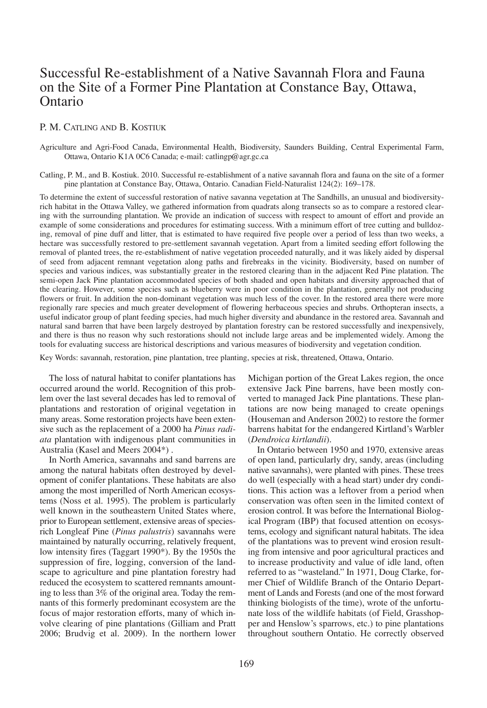# Successful Re-establishment of a Native Savannah Flora and Fauna on the Site of a Former Pine Plantation at Constance Bay, Ottawa, Ontario

# P. M. CATLING AND B. KOSTIUK

Agriculture and Agri-Food Canada, Environmental Health, Biodiversity, Saunders Building, Central Experimental Farm, Ottawa, Ontario K1A 0C6 Canada; e-mail: catlingp@agr.gc.ca

Catling, P. M., and B. Kostiuk. 2010. Successful re-establishment of a native savannah flora and fauna on the site of a former pine plantation at Constance Bay, Ottawa, Ontario. Canadian Field-Naturalist 124(2): 169–178.

To determine the extent of successful restoration of native savanna vegetation at The Sandhills, an unusual and biodiversityrich habitat in the Ottawa Valley, we gathered information from quadrats along transects so as to compare a restored clearing with the surrounding plantation. We provide an indication of success with respect to amount of effort and provide an example of some considerations and procedures for estimating success. With a minimum effort of tree cutting and bulldozing, removal of pine duff and litter, that is estimated to have required five people over a period of less than two weeks, a hectare was successfully restored to pre-settlement savannah vegetation. Apart from a limited seeding effort following the removal of planted trees, the re-establishment of native vegetation proceeded naturally, and it was likely aided by dispersal of seed from adjacent remnant vegetation along paths and firebreaks in the vicinity. Biodiversity, based on number of species and various indices, was substantially greater in the restored clearing than in the adjacent Red Pine platation. The semi-open Jack Pine plantation accommodated species of both shaded and open habitats and diversity approached that of the clearing. However, some species such as blueberry were in poor condition in the plantation, generally not producing flowers or fruit. In addition the non-dominant vegetation was much less of the cover. In the restored area there were more regionally rare species and much greater development of flowering herbaceous species and shrubs. Orthopteran insects, a useful indicator group of plant feeding species, had much higher diversity and abundance in the restored area. Savannah and natural sand barren that have been largely destroyed by plantation forestry can be restored successfully and inexpensively, and there is thus no reason why such restorations should not include large areas and be implemented widely. Among the tools for evaluating success are historical descriptions and various measures of biodiversity and vegetation condition.

Key Words: savannah, restoration, pine plantation, tree planting, species at risk, threatened, Ottawa, Ontario.

The loss of natural habitat to conifer plantations has occurred around the world. Recognition of this problem over the last several decades has led to removal of plantations and restoration of original vegetation in many areas. Some restoration projects have been extensive such as the replacement of a 2000 ha *Pinus radiata* plantation with indigenous plant communities in Australia (Kasel and Meers 2004\*) .

In North America, savannahs and sand barrens are among the natural habitats often destroyed by development of conifer plantations. These habitats are also among the most imperilled of North American ecosystems (Noss et al. 1995). The problem is particularly well known in the southeastern United States where, prior to European settlement, extensive areas of speciesrich Longleaf Pine (*Pinus palustris*) savannahs were maintained by naturally occurring, relatively frequent, low intensity fires (Taggart 1990\*). By the 1950s the suppression of fire, logging, conversion of the landscape to agriculture and pine plantation forestry had reduced the ecosystem to scattered remnants amounting to less than 3% of the original area. Today the remnants of this formerly predominant ecosystem are the focus of major restoration efforts, many of which involve clearing of pine plantations (Gilliam and Pratt 2006; Brudvig et al. 2009). In the northern lower

Michigan portion of the Great Lakes region, the once extensive Jack Pine barrens, have been mostly converted to managed Jack Pine plantations. These plantations are now being managed to create openings (Houseman and Anderson 2002) to restore the former barrens habitat for the endangered Kirtland's Warbler (*Dendroica kirtlandii*).

In Ontario between 1950 and 1970, extensive areas of open land, particularly dry, sandy, areas (including native savannahs), were planted with pines. These trees do well (especially with a head start) under dry conditions. This action was a leftover from a period when conservation was often seen in the limited context of erosion control. It was before the International Biological Program (IBP) that focused attention on ecosystems, ecology and significant natural habitats. The idea of the plantations was to prevent wind erosion resulting from intensive and poor agricultural practices and to increase productivity and value of idle land, often referred to as "wasteland." In 1971, Doug Clarke, former Chief of Wildlife Branch of the Ontario Department of Lands and Forests (and one of the most forward thinking biologists of the time), wrote of the unfortunate loss of the wildlife habitats (of Field, Grasshopper and Henslow's sparrows, etc.) to pine plantations throughout southern Ontatio. He correctly observed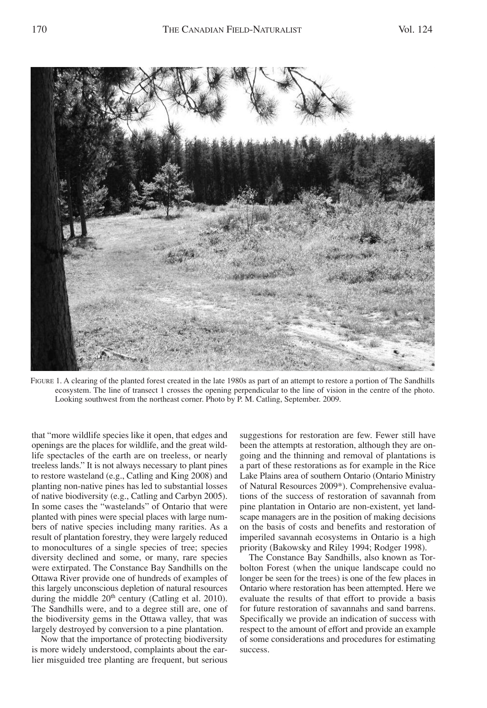

FIGURE 1. A clearing of the planted forest created in the late 1980s as part of an attempt to restore a portion of The Sandhills ecosystem. The line of transect 1 crosses the opening perpendicular to the line of vision in the centre of the photo. Looking southwest from the northeast corner. Photo by P. M. Catling, September. 2009.

that "more wildlife species like it open, that edges and openings are the places for wildlife, and the great wildlife spectacles of the earth are on treeless, or nearly treeless lands." It is not always necessary to plant pines to restore wasteland (e.g., Catling and King 2008) and planting non-native pines has led to substantial losses of native biodiversity (e.g., Catling and Carbyn 2005). In some cases the "wastelands" of Ontario that were planted with pines were special places with large numbers of native species including many rarities. As a result of plantation forestry, they were largely reduced to monocultures of a single species of tree; species diversity declined and some, or many, rare species were extirpated. The Constance Bay Sandhills on the Ottawa River provide one of hundreds of examples of this largely unconscious depletion of natural resources during the middle  $20<sup>th</sup>$  century (Catling et al. 2010). The Sandhills were, and to a degree still are, one of the biodiversity gems in the Ottawa valley, that was largely destroyed by conversion to a pine plantation.

Now that the importance of protecting biodiversity is more widely understood, complaints about the earlier misguided tree planting are frequent, but serious suggestions for restoration are few. Fewer still have been the attempts at restoration, although they are ongoing and the thinning and removal of plantations is a part of these restorations as for example in the Rice Lake Plains area of southern Ontario (Ontario Ministry of Natural Resources 2009\*). Comprehensive evaluations of the success of restoration of savannah from pine plantation in Ontario are non-existent, yet landscape managers are in the position of making decisions on the basis of costs and benefits and restoration of imperiled savannah ecosystems in Ontario is a high priority (Bakowsky and Riley 1994; Rodger 1998).

The Constance Bay Sandhills, also known as Torbolton Forest (when the unique landscape could no longer be seen for the trees) is one of the few places in Ontario where restoration has been attempted. Here we evaluate the results of that effort to provide a basis for future restoration of savannahs and sand barrens. Specifically we provide an indication of success with respect to the amount of effort and provide an example of some considerations and procedures for estimating success.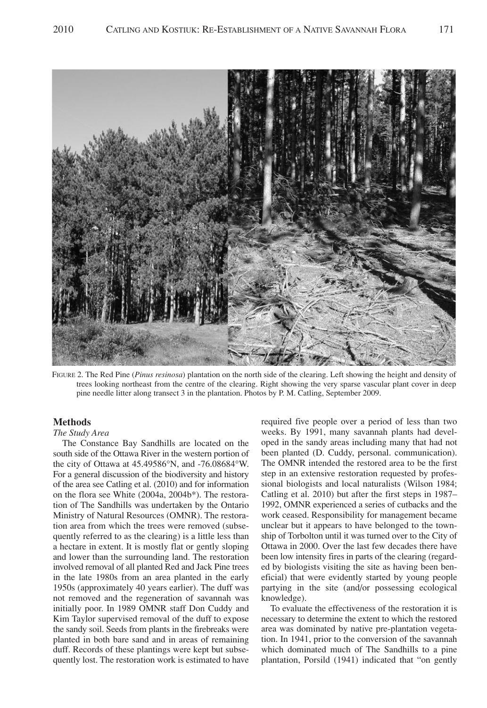

FIGURE 2. The Red Pine (*Pinus resinosa*) plantation on the north side of the clearing. Left showing the height and density of trees looking northeast from the centre of the clearing. Right showing the very sparse vascular plant cover in deep pine needle litter along transect 3 in the plantation. Photos by P. M. Catling, September 2009.

## **Methods**

## *The Study Area*

The Constance Bay Sandhills are located on the south side of the Ottawa River in the western portion of the city of Ottawa at 45.49586°N, and -76.08684°W. For a general discussion of the biodiversity and history of the area see Catling et al. (2010) and for information on the flora see White (2004a, 2004b\*). The restoration of The Sandhills was undertaken by the Ontario Ministry of Natural Resources (OMNR). The restoration area from which the trees were removed (subsequently referred to as the clearing) is a little less than a hectare in extent. It is mostly flat or gently sloping and lower than the surrounding land. The restoration involved removal of all planted Red and Jack Pine trees in the late 1980s from an area planted in the early 1950s (approximately 40 years earlier). The duff was not removed and the regeneration of savannah was initially poor. In 1989 OMNR staff Don Cuddy and Kim Taylor supervised removal of the duff to expose the sandy soil. Seeds from plants in the firebreaks were planted in both bare sand and in areas of remaining duff. Records of these plantings were kept but subsequently lost. The restoration work is estimated to have

required five people over a period of less than two weeks. By 1991, many savannah plants had developed in the sandy areas including many that had not been planted (D. Cuddy, personal. communication). The OMNR intended the restored area to be the first step in an extensive restoration requested by professional biologists and local naturalists (Wilson 1984; Catling et al. 2010) but after the first steps in 1987– 1992, OMNR experienced a series of cutbacks and the work ceased. Responsibility for management became unclear but it appears to have belonged to the township of Torbolton until it was turned over to the City of Ottawa in 2000. Over the last few decades there have been low intensity fires in parts of the clearing (regarded by biologists visiting the site as having been beneficial) that were evidently started by young people partying in the site (and/or possessing ecological knowledge).

To evaluate the effectiveness of the restoration it is necessary to determine the extent to which the restored area was dominated by native pre-plantation vegetation. In 1941, prior to the conversion of the savannah which dominated much of The Sandhills to a pine plantation, Porsild (1941) indicated that "on gently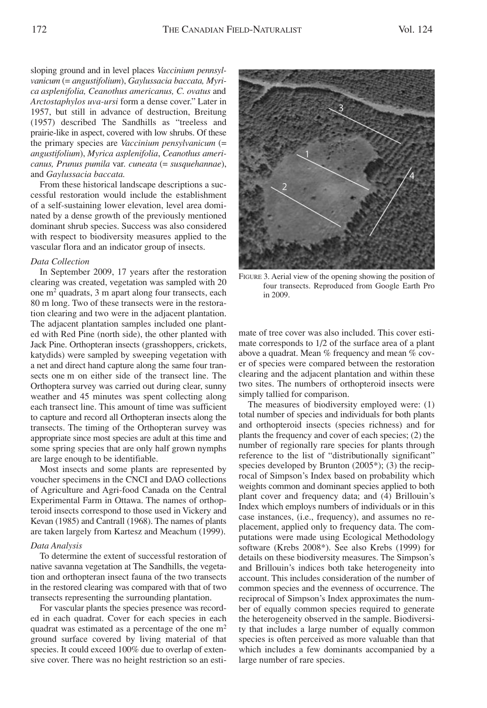sloping ground and in level places *Vaccinium pennsylvanicum* (= *angustifolium*), *Gaylussacia baccata, Myrica asplenifolia, Ceanothus americanus, C. ovatus* and *Arctostaphylos uva-ursi* form a dense cover." Later in 1957, but still in advance of destruction, Breitung (1957) described The Sandhills as "treeless and prairie-like in aspect, covered with low shrubs. Of these the primary species are *Vaccinium pensylvanicum* (= *angustifolium*), *Myrica asplenifolia*, *Ceanothus americanus, Prunus pumila* var*. cuneata* (= *susquehannae*), and *Gaylussacia baccata.*

From these historical landscape descriptions a successful restoration would include the establishment of a self-sustaining lower elevation, level area dominated by a dense growth of the previously mentioned dominant shrub species. Success was also considered with respect to biodiversity measures applied to the vascular flora and an indicator group of insects.

#### *Data Collection*

In September 2009, 17 years after the restoration clearing was created, vegetation was sampled with 20 one  $m<sup>2</sup>$  quadrats, 3 m apart along four transects, each 80 m long. Two of these transects were in the restoration clearing and two were in the adjacent plantation. The adjacent plantation samples included one planted with Red Pine (north side), the other planted with Jack Pine. Orthopteran insects (grasshoppers, crickets, katydids) were sampled by sweeping vegetation with a net and direct hand capture along the same four transects one m on either side of the transect line. The Orthoptera survey was carried out during clear, sunny weather and 45 minutes was spent collecting along each transect line. This amount of time was sufficient to capture and record all Orthopteran insects along the transects. The timing of the Orthopteran survey was appropriate since most species are adult at this time and some spring species that are only half grown nymphs are large enough to be identifiable.

Most insects and some plants are represented by voucher specimens in the CNCI and DAO collections of Agriculture and Agri-food Canada on the Central Experimental Farm in Ottawa. The names of orthopteroid insects correspond to those used in Vickery and Kevan (1985) and Cantrall (1968). The names of plants are taken largely from Kartesz and Meachum (1999).

#### *Data Analysis*

To determine the extent of successful restoration of native savanna vegetation at The Sandhills, the vegetation and orthopteran insect fauna of the two transects in the restored clearing was compared with that of two transects representing the surrounding plantation.

For vascular plants the species presence was recorded in each quadrat. Cover for each species in each quadrat was estimated as a percentage of the one  $m<sup>2</sup>$ ground surface covered by living material of that species. It could exceed 100% due to overlap of extensive cover. There was no height restriction so an esti-



FIGURE 3. Aerial view of the opening showing the position of four transects. Reproduced from Google Earth Pro in 2009.

mate of tree cover was also included. This cover estimate corresponds to 1/2 of the surface area of a plant above a quadrat. Mean % frequency and mean % cover of species were compared between the restoration clearing and the adjacent plantation and within these two sites. The numbers of orthopteroid insects were simply tallied for comparison.

The measures of biodiversity employed were: (1) total number of species and individuals for both plants and orthopteroid insects (species richness) and for plants the frequency and cover of each species; (2) the number of regionally rare species for plants through reference to the list of "distributionally significant" species developed by Brunton (2005\*); (3) the reciprocal of Simpson's Index based on probability which weights common and dominant species applied to both plant cover and frequency data; and (4) Brillouin's Index which employs numbers of individuals or in this case instances, (i.e., frequency), and assumes no replacement, applied only to frequency data. The computations were made using Ecological Methodology software (Krebs 2008\*). See also Krebs (1999) for details on these biodiversity measures. The Simpson's and Brillouin's indices both take heterogeneity into account. This includes consideration of the number of common species and the evenness of occurrence. The reciprocal of Simpson's Index approximates the number of equally common species required to generate the heterogeneity observed in the sample. Biodiversity that includes a large number of equally common species is often perceived as more valuable than that which includes a few dominants accompanied by a large number of rare species.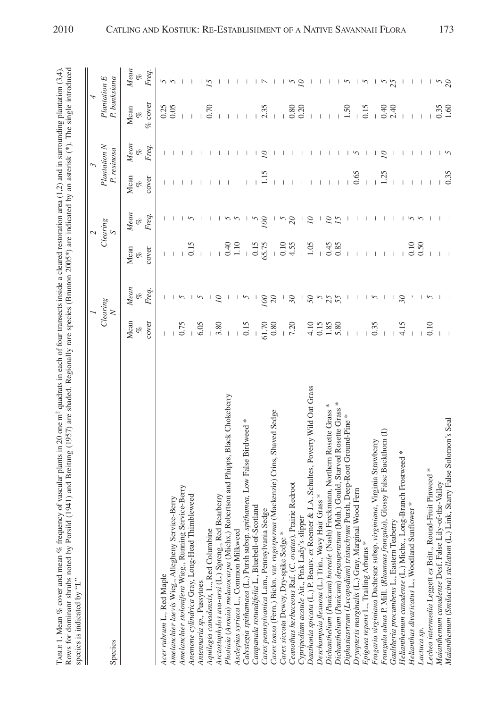| ì<br>Contract of the costs<br>$-49$<br>s<br>S<br>$-2$<br>cand in give-<br>… … … … … … … … …<br>これ しょうかん しょう<br>$\cdots$ o o o o $\cdots$<br>court frompagner<br><b>SALLED</b><br>j<br>its in 20 one m <sup>2</sup> quadrats in each of<br>Courses and County<br>i<br>ency 01<br>ţ<br>h treat<br>J<br>֦֦֦֦֦֦֦֦֦֦֦֦֦֦֪֦֧֦֧֦֧֦֧֦֧֦֧֦֧֦֧֧֦֧֦֧֧֦֧֧֚֚֚֡֬֝֝֝֝֝֝֝֝֝֝֝֝֝֝֝֝֓֝֓֝֓֝֓֝֓֓֝֓֞֝֬֝֓֝֓֝֬<br>id m<br>$\frac{1}{2}$ count and<br>$\overline{\phantom{a}}$<br>ŀ |
|-------------------------------------------------------------------------------------------------------------------------------------------------------------------------------------------------------------------------------------------------------------------------------------------------------------------------------------------------------------------------------------------------------------------------------------------------------------|
| į<br>i<br>in a mr<br>Contact Co<br>$0.6*$ ) are indicated by an asterisk $(*)$ Th<br>;<br>;<br>v rare snecies (Kriinton 7).<br>$\sim$ and $\sim$ and $\sim$<br><b>Concrete</b> by<br>$\sim$ 0.10 $\sim$<br>í,<br>ı<br>u breitung<br>$\overline{\phantom{a}}$<br>$\sim$ $\sim$ $\sim$ $\sim$<br>i<br>ō<br>nter<br>م<br>و<br>١<br>inant shrub;<br>was for dominal<br>I                                                                                        |
| ī<br>$\frac{1}{2}$<br>J<br>$\frac{1}{2}$<br>j<br>j<br>mania                                                                                                                                                                                                                                                                                                                                                                                                 |

| Species                                                                            |                                                     | Clearing                 |                                       | $\begin{array}{c} Clearing\\ S \end{array}$ |                          | Plantation N<br>P. resinosa | P. banksiana<br>Plantation E |               |
|------------------------------------------------------------------------------------|-----------------------------------------------------|--------------------------|---------------------------------------|---------------------------------------------|--------------------------|-----------------------------|------------------------------|---------------|
|                                                                                    | Mean                                                | Mean                     | Mean                                  | Mean                                        | Mean                     | Mean                        | Mean                         | Mean          |
|                                                                                    | cover                                               | Freq.                    | over                                  | Freq.                                       | cover                    | Freq.                       | $\%$ cover                   | Freq.         |
| Acer rubrum L., Red Maple                                                          |                                                     |                          |                                       |                                             |                          |                             |                              |               |
| Amelanchier laevis Wieg., Allegheny Service-Berry                                  |                                                     |                          |                                       |                                             |                          |                             | 0.25                         | 5<br>5        |
| Amelanchier stolonifera Wieg., Running Service-Berry                               |                                                     | $\overline{6}$           |                                       |                                             |                          |                             |                              |               |
| Anemone cylindrica Gray, Long-Head Thimbleweed                                     |                                                     |                          | 0.15                                  |                                             |                          |                             |                              |               |
| Antennaria sp., Pussytoes                                                          | 6.05                                                | $\sim$                   |                                       |                                             |                          |                             |                              |               |
| Aquilegia canadensis, L., Red Columbine                                            |                                                     |                          |                                       |                                             |                          | $\mathbf{I}$                | 0.70                         |               |
| Arctostaphylos uva-ursi (L.) Spreng., Red Bearberry                                | 3.80                                                | $\overline{10}$          |                                       |                                             |                          |                             |                              |               |
| Photinia (Aronia) melanocarpa (Michx.) Robertson and Phipps, Black Chokeberry      |                                                     |                          |                                       |                                             |                          |                             |                              |               |
| Asclepias syriaca L., Common Milkweed                                              |                                                     |                          |                                       |                                             |                          |                             |                              |               |
| Calystegia spithamaea (L.) Pursh subsp. spithamea, Low False Birdweed *            |                                                     |                          | $0.40$<br>$-1.10$<br>$-0.15$<br>65.75 |                                             |                          |                             |                              |               |
| Campanula rotundifolia L., Bluebell-of-Scotland                                    |                                                     |                          |                                       |                                             |                          | $\mathbf{I}$                |                              |               |
| Carex pennsylvanica Lam., Pennsylvania Sedge                                       | $\frac{0.15}{61.70}$                                | 00                       |                                       | 00                                          | 1.15                     | $\overline{O}$              | 2.35                         | $\sqrt{2}$    |
| Carex tonsa (Fern.) Bickn. var. rugosperma (Mackenzie) Crins, Shaved Sedge         |                                                     | $\overline{c}$           |                                       |                                             | $\overline{\phantom{a}}$ | $\overline{\phantom{a}}$    |                              |               |
| Carex siccata Dewey, Dry-spike Sedge *                                             |                                                     |                          |                                       |                                             | $\mathbb I$              |                             |                              |               |
| Ceanothus herbaceous Raf. (C. ovatus), Prairie Redroot                             | $-7.20$<br>$-1.10$<br>$-1.55$<br>$-1.85$<br>$-1.85$ | $\mathcal{S}O$           | $-0.10$<br>4.55                       | $\overline{c}$                              |                          | $1 - 1 - 1 - 1 - 1$         | $\frac{80}{0.30}$            | $-50$         |
| Cypripedium acaule Ait., Pink Lady's-slipper                                       |                                                     |                          |                                       |                                             |                          |                             |                              |               |
| Danthonia spicata (L.) P. Beauv. ex Roemer & J.A. Schultes, Poverty Wild Oat Grass |                                                     |                          | $-1.05$                               | $\overline{a}$                              |                          |                             |                              |               |
| Deschampsia flexuosa (L.) Trin., Wavy Hair Grass *                                 |                                                     |                          |                                       |                                             |                          |                             |                              |               |
| Dichanthelium (Panicum) boreale (Nash) Freckmann, Northern Rosette Grass *         |                                                     | 5555                     | $-45$<br>0.45                         | S                                           |                          | $\Box$                      |                              |               |
| Dichanthelium (Panicum) depauperatum (Muh.) Gould, Starved Rosette Grass*          |                                                     |                          |                                       | $\tilde{c}$                                 |                          | $\mathbf{I}$                |                              |               |
| Diphasiasrtrum (Lycopodium) tristachyum Pursh, Deep-Root Ground-Pine *             |                                                     |                          |                                       |                                             |                          |                             | 1.50                         | $\sqrt{2}$    |
| Dryopteris marginalis (L.) Gray, Marginal Wood Fern                                |                                                     |                          |                                       |                                             | 0.65                     | $\sqrt{2}$                  |                              | $\sqrt{2}$    |
| Epigaea repens L., Trailing Arbutus*                                               |                                                     |                          |                                       |                                             |                          |                             | 0.15                         |               |
| Fragaria virginiana Duchesne subsp. virginiana, Virginia Strawberry                | 0.35                                                | $\sqrt{2}$               |                                       |                                             |                          |                             |                              |               |
| Frangula alnus P. Mill. (Rhamnus frangula), Glossy False Buckthorn (I)             |                                                     |                          |                                       |                                             | 1.25                     | $\tilde{O}$                 | $340$<br>$-24$               | 5             |
| Gaultheria procumbens L., Eastern Teaberry                                         |                                                     |                          |                                       |                                             |                          |                             |                              | $\mathcal{S}$ |
| Helianthemum canadense (L.) Michx., Long-Branch Frostweed*                         | 4.15                                                | $\overline{\mathcal{S}}$ |                                       |                                             |                          |                             |                              |               |
| Helianthus divaricatus L., Woodland Sunflower *                                    |                                                     |                          | $0.10$<br>$0.50$                      |                                             |                          |                             |                              |               |
| Lactuca sp.                                                                        | $\overline{0.10}$                                   |                          |                                       | 1501                                        |                          |                             |                              |               |
| Lechea intermedia Leggett ex Britt., Round-Fruit Pinweed *                         |                                                     | $\sqrt{2}$               |                                       |                                             |                          |                             |                              |               |
| Maianthemum canadense Desf. False Lily-of-the-Valley                               |                                                     |                          |                                       |                                             |                          |                             | $0.35$<br>1.60               |               |
| Maianthemum (Smilacina) stellatum (L.) Link, Starry False Solomon's Seal           |                                                     |                          |                                       |                                             | 0.35                     |                             |                              |               |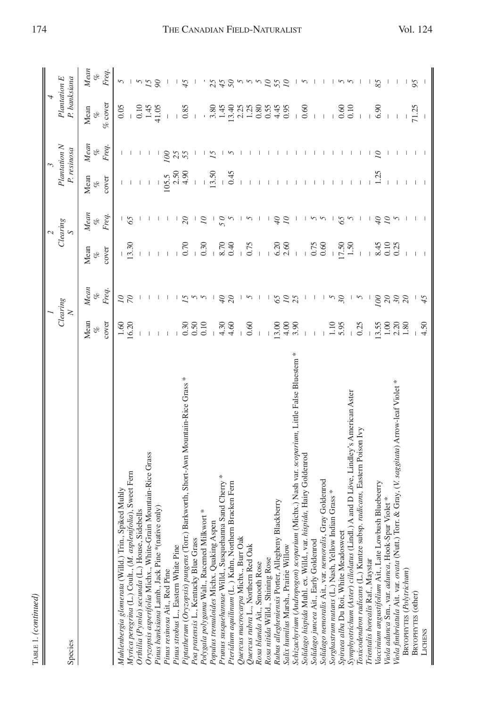| ٠<br>í |
|--------|
|        |
|        |

| Species                                                                                       | Clearly<br>$\geq$ |                |                                       | Clearlying      | Plantation N<br>P. resinosa |                | Plantation E<br>P. banksiana |                |
|-----------------------------------------------------------------------------------------------|-------------------|----------------|---------------------------------------|-----------------|-----------------------------|----------------|------------------------------|----------------|
|                                                                                               |                   |                |                                       |                 |                             |                |                              |                |
|                                                                                               | Mean              | Mean           | Mean                                  | Mean            | Mean                        | Mean           | Mean                         | Mean           |
|                                                                                               | of                | of             | of                                    | of              | of                          | of             | of                           | olo            |
|                                                                                               | cover             | Freq.          | cover                                 | Freq.           | cover                       | Freq.          | $%$ cover                    | Freq.          |
| Muhlenbergia glomerata (Willd.) Trin., Spiked Muhly                                           | $-1.60$           | $\overline{a}$ |                                       |                 |                             |                | 0.05                         | 5              |
| Myrica peregrina (L.) Coult., (M. asplenifolia), Sweet Fern                                   | 16.20             | $\beta$        | 13.30                                 | 65              |                             |                |                              |                |
| Orthilia (Pyrola) secunda (L.) House, Sidebells                                               |                   |                |                                       |                 |                             |                | 0.10                         | 5              |
| Oryzopsis asperifolia Michx., White-Grain Mountain-Rice Grass                                 |                   |                |                                       |                 |                             |                | 1.45                         | 51             |
| Pinus banksiana Lamb., Jack Pine *(native only)                                               |                   |                |                                       |                 |                             |                | 41.05                        | $\infty$       |
| Pinus resinosa Ait., Red Pine                                                                 |                   |                |                                       |                 | 105.5                       | 00             |                              |                |
| Pinus strobus L., Eastern White Pine                                                          |                   |                |                                       |                 | 2.50                        | 25             |                              |                |
| Piptatherum (Oryzopsis) pungens (Torr.) Barkworth, Short-Awn Mountain-Rice Grass *            | 0.30              | $5\sigma$      | 0.70                                  | $\overline{c}$  | 4.90                        | 55             | 0.85                         | 5t             |
| Poa pratensis L., Kentucky Blue Grass                                                         | 0.50              |                |                                       |                 |                             |                |                              |                |
| Polygala polygama Walt., Racemed Milkwort                                                     | 0.10              |                | 0.30                                  | $\overline{10}$ |                             |                | $\bar{\mathbf{r}}$           |                |
| Populus tremuloides Michx. Quaking Aspen                                                      |                   |                |                                       |                 | 13.50                       | ر،             | 3.80                         | 25             |
| Prunus susquehannae Willd., Susquehanna Sand Cherry *                                         | 4.30              | $\mathcal{O}$  | 8.70                                  | 50              |                             |                | 1.45                         | 45             |
| Pteridium aquilinum (L.) Kuhn, Northern Bracken Fern                                          | 4.60              | $\overline{c}$ | 0.40                                  | $\overline{5}$  | 0.45                        |                | 13.40                        | $\mathcal{S}$  |
| Quercus macrocarpa Michx., Burr Oak                                                           | $\bar{1}$         |                |                                       |                 |                             |                | 2.25                         | $\sim$         |
| Quercus rubra L., Northern Red Oak                                                            | 0.60              | $\sim$         | 0.75                                  | 5               |                             |                | $\frac{1.25}{0.80}$          | 5              |
| Rosa blanda Ait., Smooth Rose                                                                 |                   |                |                                       |                 |                             |                |                              | $\sim$         |
| Rosa nitida Willd., Shining Rose                                                              |                   |                | $\overline{1}$                        |                 |                             |                | 0.55                         | $\overline{O}$ |
| Rubus allegheniensis Porter, Allegheny Blackberry                                             | 13.00             | 65             | 6.20                                  | Э               |                             |                | 4.45                         | 55             |
| Salix humilus Marsh., Prairie Willow                                                          | 4.00              | $\overline{O}$ | 2.60                                  | $\overline{O}$  |                             |                | 0.95                         | $\overline{O}$ |
| Schizachyrium (Andropogon) scoparium (Michx.) Nash var. scoparium, Little False Bluestem *    | 3.90              | 25             | $\begin{array}{c} \hline \end{array}$ |                 |                             |                |                              |                |
| Solidago hispida Muhl. ex. Willd., var. hispida, Hairy Goldenrod                              |                   |                | $\overline{1}$                        |                 |                             |                | 0.60                         | $\sim$         |
| Solidago juncea Ait., Early Goldenrod                                                         | $\overline{1}$    |                | 0.75                                  | 5               |                             |                | $\mathbf{I}$                 |                |
| Solidago nemoralis Ait., var. nemoralis, Gray Goldenrod                                       |                   |                | 0.60                                  | 5               |                             |                |                              |                |
| Sorghastrum nutans (L.) Nash, Yellow Indian Grass *                                           | 1.10              | $-58$          |                                       |                 |                             |                |                              |                |
| Spiraea alba Du Roi, White Meadosweet                                                         | 5.95              |                | 17.50                                 | 65              |                             |                | 0.60                         | 5              |
| Symphyotrichum (Aster) ciliolatus (Lindl.) A and D Löve, Lindley's American Aster             |                   |                | 1.50                                  |                 |                             |                | 0.10                         | $\sim$         |
| radicans, Eastern Poison Ivy<br>Toxicodendron radicans (L.) Kuntze subsp.                     | 0.25              | 5              |                                       |                 |                             |                |                              |                |
| Trientalis borealis Raf., Maystar                                                             |                   |                |                                       |                 |                             |                |                              |                |
| Vaccinium angustifolium Ait., Late Lowbush Bluebeerry                                         | 13.55             | 00             | 8.45                                  | $\mathcal{O}$   | 1.25                        | $\overline{c}$ | 6.90                         | 85             |
| Viola adunca Sm., var. adunca, Hook-Spur Violet *                                             | 1.00              | $\overline{c}$ | 0.10                                  | $\overline{O}$  |                             |                |                              |                |
| & Gray, (V. saggitata) Arrow-leaf Violet *<br>Viola fimbriatula Ait. var. ovata (Nutt.) Torr. | 2.20              | $\mathcal{S}O$ | 0.25                                  | 5               |                             |                |                              |                |
| <b>BRYOPHYTES</b> (Polytrichum)                                                               | 1.80              | $\overline{c}$ |                                       |                 |                             |                |                              |                |
| BRYOPHYTES (other)                                                                            |                   |                |                                       |                 |                             |                | 71.25                        | 95             |
| LICHENS                                                                                       | 4.50              | 45             |                                       |                 |                             |                |                              |                |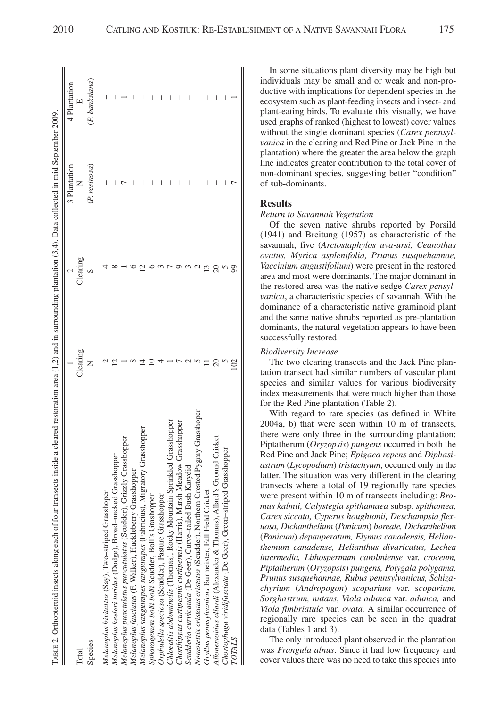|                                                                             |          | 3 Plantation       | 4 Plantation   |
|-----------------------------------------------------------------------------|----------|--------------------|----------------|
| Total                                                                       | Clearing |                    |                |
| Species                                                                     |          | $(P.$ resinosa $)$ | (P. banksiana) |
| Melanoplus bivitattus (Say), Two-striped Grasshoper                         |          |                    |                |
| Melanoplus keeleri luridus (Dodge), Broad-necked Grasshopper                |          |                    |                |
| Melanoplus punctulatus puncutulatus (Scudder), Grizzly Grasshopper          |          |                    |                |
| Melanoplus fasciatus (F. Walker), Huckleberry Grasshopper                   |          |                    |                |
| Melanoplus sanguinipes sanguinipes (Fabricius), Migratory Grasshopper       |          |                    |                |
| Spharagemon bolli bolli Scudder, Boll's Grashopper                          |          |                    |                |
| Orphulella speciosa (Scudder), Pasture Grasshopper                          |          |                    |                |
| Thloealtis abdominalis (Thomas), Rocky Mountain Sprinkled Grasshopper       |          |                    |                |
| Chorthippus curtipennis curtipennis (Harris), Marsh Meadow Grasshopper      |          |                    |                |
| Scudderia curvicauda (De Geer), Curve-tailed Bush Katydid                   |          |                    |                |
| Nomotettix cristatus cristatus (Scudder), Northern Crested Pygmy Grasshoper |          |                    |                |
| Gryllus pennsylvanicus Burmeister, Fall Field Cricket                       |          |                    |                |
| llonemobius allardi (Alexander & Thomas), Allard's Ground Cricket           |          |                    |                |
| Chortophaga viridifasciata (De Geer), Green-striped Grasshopper             |          |                    |                |
| <b>TOTALS</b>                                                               |          |                    |                |
|                                                                             |          |                    |                |

In some situations plant diversity may be high but individuals may be small and or weak and non-productive with implications for dependent species in the ecosystem such as plant-feeding insects and insect- and plant-eating birds. To evaluate this visually, we have used graphs of ranked (highest to lowest) cover values without the single dominant species (*Carex pennsylvanica* in the clearing and Red Pine or Jack Pine in the plantation) where the greater the area below the graph line indicates greater contribution to the total cover of non-dominant species, suggesting better "condition" of sub-dominants.

## **Results**

#### *Return to Savannah Vegetation*

Of the seven native shrubs reported by Porsild (1941) and Breitung (1957) as characteristic of the savannah, five (*Arctostaphylos uva-ursi, Ceanothus ovatus, Myrica asplenifolia, Prunus susquehannae, Vaccinium angustifolium*) were present in the restored area and most were dominants. The major dominant in the restored area was the native sedge *Carex pensylvanica*, a characteristic species of savannah. With the dominance of a characteristic native graminoid plant and the same native shrubs reported as pre-plantation dominants, the natural vegetation appears to have been successfully restored.

#### *Biodiversity Increase*

The two clearing transects and the Jack Pine plantation transect had similar numbers of vascular plant species and similar values for various biodiversity index measurements that were much higher than those for the Red Pine plantation (Table 2).

With regard to rare species (as defined in White 2004a, b) that were seen within 10 m of transects, there were only three in the surrounding plantation: Piptatherum (*Oryzopsis*) *pungens* occurred in both the Red Pine and Jack Pine; *Epigaea repens* and *Diphasiastrum* (*Lycopodium*) *tristachyum*, occurred only in the latter. The situation was very different in the clearing transects where a total of 19 regionally rare species were present within 10 m of transects including: *Bromus kalmii, Calystegia spithamaea* subsp. *spithamea, Carex siccata, Cyperus houghtonii, Deschampsia flexuosa, Dichanthelium* (*Panicum*) *boreale, Dichanthelium* (*Panicum*) *depauperatum, Elymus canadensis, Helianthemum canadense, Helianthus divaricatus, Lechea intermedia, Lithospermum caroliniense* var. *croceum, Piptatherum* (*Oryzopsis*) *pungens, Polygala polygama, Prunus susquehannae, Rubus pennsylvanicus, Schizachyrium* (*Andropogon*) *scoparium* var. s*coparium, Sorghastrum, nutans, Viola adunca* var. *adunca,* and *Viola fimbriatula* var. *ovata.* A similar occurrence of regionally rare species can be seen in the quadrat data (Tables 1 and 3).

The only introduced plant observed in the plantation was *Frangula alnus*. Since it had low frequency and cover values there was no need to take this species into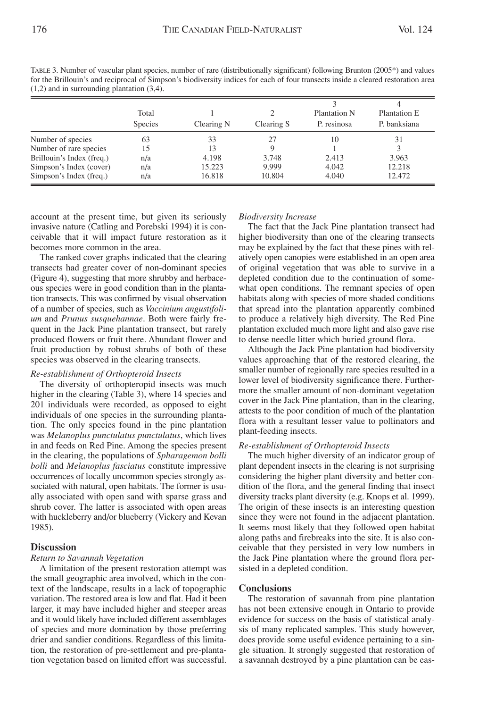TABLE 3. Number of vascular plant species, number of rare (distributionally significant) following Brunton (2005\*) and values for the Brillouin's and reciprocal of Simpson's biodiversity indices for each of four transects inside a cleared restoration area (1,2) and in surrounding plantation (3,4).

|                           | Total<br><b>Species</b> | Clearing N | Clearing S | <b>Plantation N</b><br>P. resinosa | Plantation E<br>P. banksiana |
|---------------------------|-------------------------|------------|------------|------------------------------------|------------------------------|
| Number of species         | 63                      | 33         | 27         | 10                                 | 31                           |
| Number of rare species    | 15                      | 13         |            |                                    |                              |
| Brillouin's Index (freq.) | n/a                     | 4.198      | 3.748      | 2.413                              | 3.963                        |
| Simpson's Index (cover)   | n/a                     | 15.223     | 9.999      | 4.042                              | 12.218                       |
| Simpson's Index (freq.)   | n/a                     | 16.818     | 10.804     | 4.040                              | 12.472                       |

account at the present time, but given its seriously invasive nature (Catling and Porebski 1994) it is conceivable that it will impact future restoration as it becomes more common in the area.

The ranked cover graphs indicated that the clearing transects had greater cover of non-dominant species (Figure 4), suggesting that more shrubby and herbaceous species were in good condition than in the plantation transects. This was confirmed by visual observation of a number of species, such as *Vaccinium angustifolium* and *Prunus susquehannae*. Both were fairly frequent in the Jack Pine plantation transect, but rarely produced flowers or fruit there. Abundant flower and fruit production by robust shrubs of both of these species was observed in the clearing transects.

#### *Re-establishment of Orthopteroid Insects*

The diversity of orthopteropid insects was much higher in the clearing (Table 3), where 14 species and 201 individuals were recorded, as opposed to eight individuals of one species in the surrounding plantation. The only species found in the pine plantation was *Melanoplus punctulatus punctulatus*, which lives in and feeds on Red Pine. Among the species present in the clearing, the populations of *Spharagemon bolli bolli* and *Melanoplus fasciatus* constitute impressive occurrences of locally uncommon species strongly associated with natural, open habitats. The former is usually associated with open sand with sparse grass and shrub cover. The latter is associated with open areas with huckleberry and/or blueberry (Vickery and Kevan 1985).

# **Discussion**

## *Return to Savannah Vegetation*

A limitation of the present restoration attempt was the small geographic area involved, which in the context of the landscape, results in a lack of topographic variation. The restored area is low and flat. Had it been larger, it may have included higher and steeper areas and it would likely have included different assemblages of species and more domination by those preferring drier and sandier conditions. Regardless of this limitation, the restoration of pre-settlement and pre-plantation vegetation based on limited effort was successful.

## *Biodiversity Increase*

The fact that the Jack Pine plantation transect had higher biodiversity than one of the clearing transects may be explained by the fact that these pines with relatively open canopies were established in an open area of original vegetation that was able to survive in a depleted condition due to the continuation of somewhat open conditions. The remnant species of open habitats along with species of more shaded conditions that spread into the plantation apparently combined to produce a relatively high diversity. The Red Pine plantation excluded much more light and also gave rise to dense needle litter which buried ground flora.

Although the Jack Pine plantation had biodiversity values approaching that of the restored clearing, the smaller number of regionally rare species resulted in a lower level of biodiversity significance there. Furthermore the smaller amount of non-dominant vegetation cover in the Jack Pine plantation, than in the clearing, attests to the poor condition of much of the plantation flora with a resultant lesser value to pollinators and plant-feeding insects.

#### *Re-establishment of Orthopteroid Insects*

The much higher diversity of an indicator group of plant dependent insects in the clearing is not surprising considering the higher plant diversity and better condition of the flora, and the general finding that insect diversity tracks plant diversity (e.g. Knops et al. 1999). The origin of these insects is an interesting question since they were not found in the adjacent plantation. It seems most likely that they followed open habitat along paths and firebreaks into the site. It is also conceivable that they persisted in very low numbers in the Jack Pine plantation where the ground flora persisted in a depleted condition.

#### **Conclusions**

The restoration of savannah from pine plantation has not been extensive enough in Ontario to provide evidence for success on the basis of statistical analysis of many replicated samples. This study however, does provide some useful evidence pertaining to a single situation. It strongly suggested that restoration of a savannah destroyed by a pine plantation can be eas-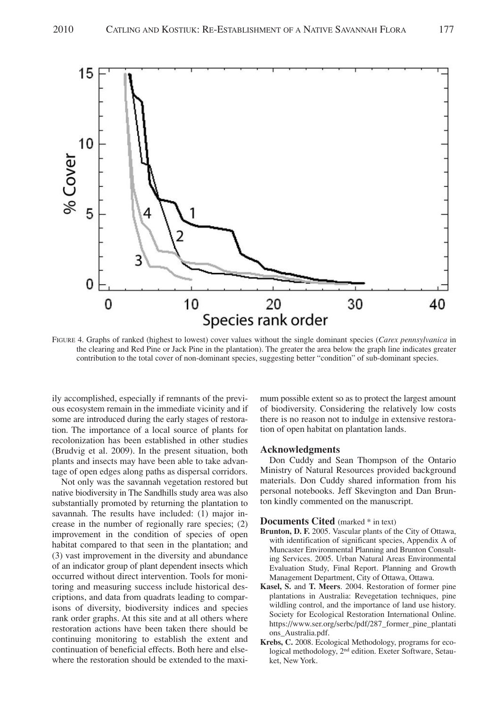

FIGURE 4. Graphs of ranked (highest to lowest) cover values without the single dominant species (*Carex pennsylvanica* in the clearing and Red Pine or Jack Pine in the plantation). The greater the area below the graph line indicates greater contribution to the total cover of non-dominant species, suggesting better "condition" of sub-dominant species.

ily accomplished, especially if remnants of the previous ecosystem remain in the immediate vicinity and if some are introduced during the early stages of restoration. The importance of a local source of plants for recolonization has been established in other studies (Brudvig et al. 2009). In the present situation, both plants and insects may have been able to take advantage of open edges along paths as dispersal corridors.

Not only was the savannah vegetation restored but native biodiversity in The Sandhills study area was also substantially promoted by returning the plantation to savannah. The results have included: (1) major increase in the number of regionally rare species; (2) improvement in the condition of species of open habitat compared to that seen in the plantation; and (3) vast improvement in the diversity and abundance of an indicator group of plant dependent insects which occurred without direct intervention. Tools for monitoring and measuring success include historical descriptions, and data from quadrats leading to comparisons of diversity, biodiversity indices and species rank order graphs. At this site and at all others where restoration actions have been taken there should be continuing monitoring to establish the extent and continuation of beneficial effects. Both here and elsewhere the restoration should be extended to the maximum possible extent so as to protect the largest amount of biodiversity. Considering the relatively low costs there is no reason not to indulge in extensive restoration of open habitat on plantation lands.

#### **Acknowledgments**

Don Cuddy and Sean Thompson of the Ontario Ministry of Natural Resources provided background materials. Don Cuddy shared information from his personal notebooks. Jeff Skevington and Dan Brunton kindly commented on the manuscript.

#### **Documents Cited** (marked \* in text)

- **Brunton, D. F.** 2005. Vascular plants of the City of Ottawa, with identification of significant species, Appendix A of Muncaster Environmental Planning and Brunton Consulting Services. 2005. Urban Natural Areas Environmental Evaluation Study, Final Report. Planning and Growth Management Department, City of Ottawa, Ottawa.
- **Kasel, S.** and **T. Meers**. 2004. Restoration of former pine plantations in Australia: Revegetation techniques, pine wildling control, and the importance of land use history. Society for Ecological Restoration International Online. https://www.ser.org/serbc/pdf/287\_former\_pine\_plantati ons\_Australia.pdf.
- **Krebs, C.** 2008. Ecological Methodology, programs for ecological methodology, 2nd edition. Exeter Software, Setauket, New York.